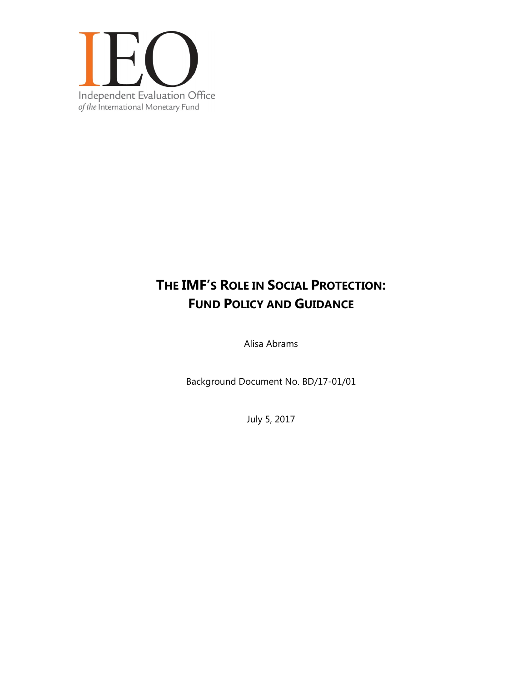

# **THE IMF'S ROLE IN SOCIAL PROTECTION: FUND POLICY AND GUIDANCE**

Alisa Abrams

Background Document No. BD/17-01/01

July 5, 2017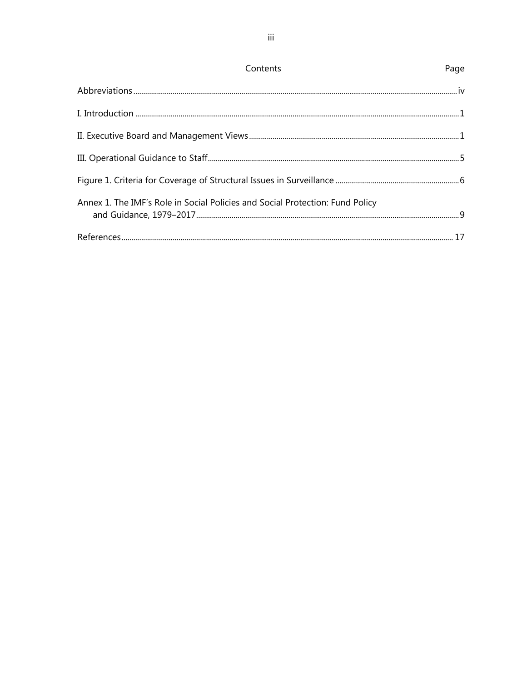| Contents                                                                      | Page |
|-------------------------------------------------------------------------------|------|
|                                                                               |      |
|                                                                               |      |
|                                                                               |      |
|                                                                               |      |
|                                                                               |      |
| Annex 1. The IMF's Role in Social Policies and Social Protection: Fund Policy |      |
|                                                                               |      |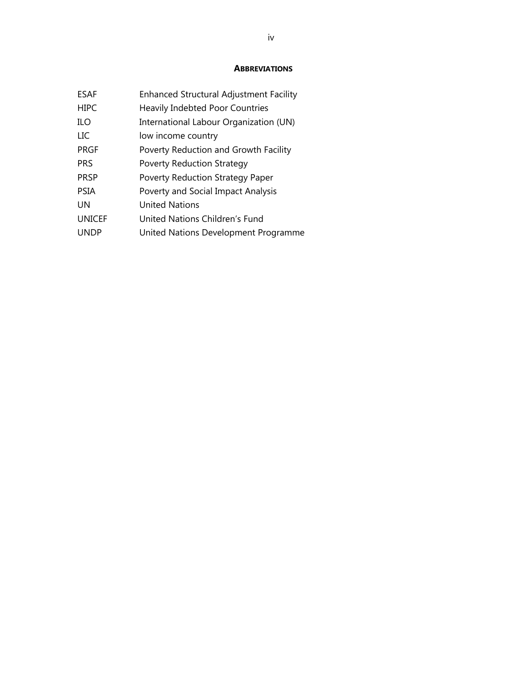#### **ABBREVIATIONS**

| ESAF          | <b>Enhanced Structural Adjustment Facility</b> |
|---------------|------------------------------------------------|
| <b>HIPC</b>   | <b>Heavily Indebted Poor Countries</b>         |
| <b>ILO</b>    | International Labour Organization (UN)         |
| LIC           | low income country                             |
| PRGF          | Poverty Reduction and Growth Facility          |
| <b>PRS</b>    | <b>Poverty Reduction Strategy</b>              |
| <b>PRSP</b>   | Poverty Reduction Strategy Paper               |
| <b>PSIA</b>   | Poverty and Social Impact Analysis             |
| UN            | United Nations                                 |
| <b>UNICEF</b> | United Nations Children's Fund                 |
| <b>UNDP</b>   | United Nations Development Programme           |
|               |                                                |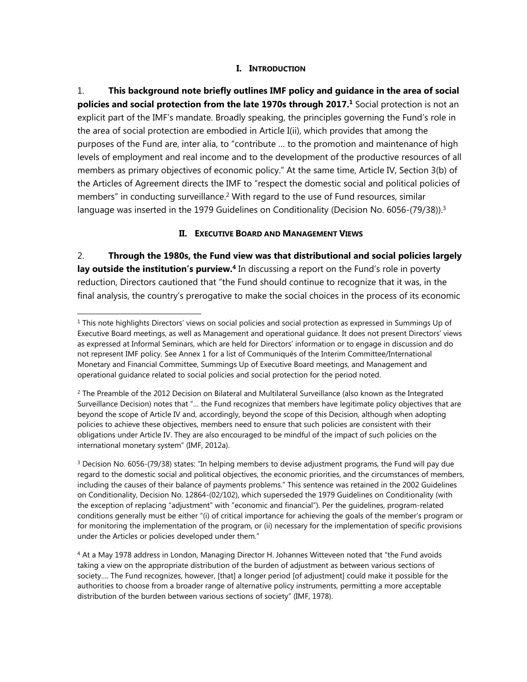#### **I. INTRODUCTION**

1. **This background note briefly outlines IMF policy and guidance in the area of social policies and social protection from the late 1970s through 2017.<sup>1</sup> Social protection is not an** explicit part of the IMF's mandate. Broadly speaking, the principles governing the Fund's role in the area of social protection are embodied in Article I(ii), which provides that among the purposes of the Fund are, inter alia, to "contribute … to the promotion and maintenance of high levels of employment and real income and to the development of the productive resources of all members as primary objectives of economic policy." At the same time, Article IV, Section 3(b) of the Articles of Agreement directs the IMF to "respect the domestic social and political policies of members" in conducting surveillance.<sup>2</sup> With regard to the use of Fund resources, similar language was inserted in the 1979 Guidelines on Conditionality (Decision No. 6056-(79/38)).<sup>3</sup>

## **II. EXECUTIVE BOARD AND MANAGEMENT VIEWS**

2. **Through the 1980s, the Fund view was that distributional and social policies largely**  lay outside the institution's purview.<sup>4</sup> In discussing a report on the Fund's role in poverty reduction, Directors cautioned that "the Fund should continue to recognize that it was, in the final analysis, the country's prerogative to make the social choices in the process of its economic

l

 $1$  This note highlights Directors' views on social policies and social protection as expressed in Summings Up of Executive Board meetings, as well as Management and operational guidance. It does not present Directors' views as expressed at Informal Seminars, which are held for Directors' information or to engage in discussion and do not represent IMF policy. See Annex 1 for a list of Communiqués of the Interim Committee/International Monetary and Financial Committee, Summings Up of Executive Board meetings, and Management and operational guidance related to social policies and social protection for the period noted.

 $<sup>2</sup>$  The Preamble of the 2012 Decision on Bilateral and Multilateral Surveillance (also known as the Integrated</sup> Surveillance Decision) notes that "… the Fund recognizes that members have legitimate policy objectives that are beyond the scope of Article IV and, accordingly, beyond the scope of this Decision, although when adopting policies to achieve these objectives, members need to ensure that such policies are consistent with their obligations under Article IV. They are also encouraged to be mindful of the impact of such policies on the international monetary system" (IMF, 2012a).

 $3$  Decision No. 6056-(79/38) states: "In helping members to devise adjustment programs, the Fund will pay due regard to the domestic social and political objectives, the economic priorities, and the circumstances of members, including the causes of their balance of payments problems." This sentence was retained in the 2002 Guidelines on Conditionality, Decision No. 12864-(02/102), which superseded the 1979 Guidelines on Conditionality (with the exception of replacing "adjustment" with "economic and financial"). Per the guidelines, program-related conditions generally must be either "(i) of critical importance for achieving the goals of the member's program or for monitoring the implementation of the program, or (ii) necessary for the implementation of specific provisions under the Articles or policies developed under them."

<sup>4</sup> At a May 1978 address in London, Managing Director H. Johannes Witteveen noted that "the Fund avoids taking a view on the appropriate distribution of the burden of adjustment as between various sections of society…. The Fund recognizes, however, [that] a longer period [of adjustment] could make it possible for the authorities to choose from a broader range of alternative policy instruments, permitting a more acceptable distribution of the burden between various sections of society" (IMF, 1978).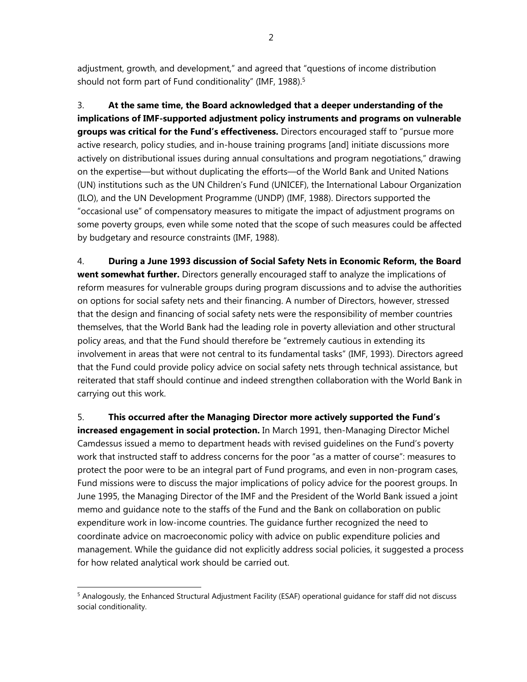adjustment, growth, and development," and agreed that "questions of income distribution should not form part of Fund conditionality" (IMF, 1988).<sup>5</sup>

3. **At the same time, the Board acknowledged that a deeper understanding of the implications of IMF-supported adjustment policy instruments and programs on vulnerable groups was critical for the Fund's effectiveness.** Directors encouraged staff to "pursue more active research, policy studies, and in-house training programs [and] initiate discussions more actively on distributional issues during annual consultations and program negotiations," drawing on the expertise—but without duplicating the efforts—of the World Bank and United Nations (UN) institutions such as the UN Children's Fund (UNICEF), the International Labour Organization (ILO), and the UN Development Programme (UNDP) (IMF, 1988). Directors supported the "occasional use" of compensatory measures to mitigate the impact of adjustment programs on some poverty groups, even while some noted that the scope of such measures could be affected by budgetary and resource constraints (IMF, 1988).

4. **During a June 1993 discussion of Social Safety Nets in Economic Reform, the Board went somewhat further.** Directors generally encouraged staff to analyze the implications of reform measures for vulnerable groups during program discussions and to advise the authorities on options for social safety nets and their financing. A number of Directors, however, stressed that the design and financing of social safety nets were the responsibility of member countries themselves, that the World Bank had the leading role in poverty alleviation and other structural policy areas, and that the Fund should therefore be "extremely cautious in extending its involvement in areas that were not central to its fundamental tasks" (IMF, 1993). Directors agreed that the Fund could provide policy advice on social safety nets through technical assistance, but reiterated that staff should continue and indeed strengthen collaboration with the World Bank in carrying out this work.

5. **This occurred after the Managing Director more actively supported the Fund's increased engagement in social protection.** In March 1991, then-Managing Director Michel Camdessus issued a memo to department heads with revised guidelines on the Fund's poverty work that instructed staff to address concerns for the poor "as a matter of course": measures to protect the poor were to be an integral part of Fund programs, and even in non-program cases, Fund missions were to discuss the major implications of policy advice for the poorest groups. In June 1995, the Managing Director of the IMF and the President of the World Bank issued a joint memo and guidance note to the staffs of the Fund and the Bank on collaboration on public expenditure work in low-income countries. The guidance further recognized the need to coordinate advice on macroeconomic policy with advice on public expenditure policies and management. While the guidance did not explicitly address social policies, it suggested a process for how related analytical work should be carried out.

l

2

<sup>&</sup>lt;sup>5</sup> Analogously, the Enhanced Structural Adjustment Facility (ESAF) operational guidance for staff did not discuss social conditionality.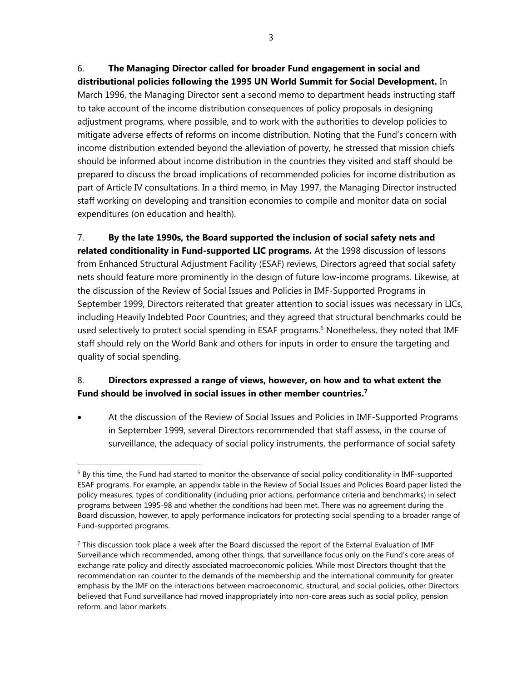6. **The Managing Director called for broader Fund engagement in social and distributional policies following the 1995 UN World Summit for Social Development.** In March 1996, the Managing Director sent a second memo to department heads instructing staff to take account of the income distribution consequences of policy proposals in designing adjustment programs, where possible, and to work with the authorities to develop policies to mitigate adverse effects of reforms on income distribution. Noting that the Fund's concern with income distribution extended beyond the alleviation of poverty, he stressed that mission chiefs should be informed about income distribution in the countries they visited and staff should be prepared to discuss the broad implications of recommended policies for income distribution as part of Article IV consultations. In a third memo, in May 1997, the Managing Director instructed staff working on developing and transition economies to compile and monitor data on social expenditures (on education and health).

7. **By the late 1990s, the Board supported the inclusion of social safety nets and related conditionality in Fund-supported LIC programs.** At the 1998 discussion of lessons from Enhanced Structural Adjustment Facility (ESAF) reviews, Directors agreed that social safety nets should feature more prominently in the design of future low-income programs. Likewise, at the discussion of the Review of Social Issues and Policies in IMF-Supported Programs in September 1999, Directors reiterated that greater attention to social issues was necessary in LICs, including Heavily Indebted Poor Countries; and they agreed that structural benchmarks could be used selectively to protect social spending in ESAF programs.<sup>6</sup> Nonetheless, they noted that IMF staff should rely on the World Bank and others for inputs in order to ensure the targeting and quality of social spending.

# 8. **Directors expressed a range of views, however, on how and to what extent the Fund should be involved in social issues in other member countries.7**

 At the discussion of the Review of Social Issues and Policies in IMF-Supported Programs in September 1999, several Directors recommended that staff assess, in the course of surveillance, the adequacy of social policy instruments, the performance of social safety

 $6$  By this time, the Fund had started to monitor the observance of social policy conditionality in IMF-supported ESAF programs. For example, an appendix table in the Review of Social Issues and Policies Board paper listed the policy measures, types of conditionality (including prior actions, performance criteria and benchmarks) in select programs between 1995-98 and whether the conditions had been met. There was no agreement during the Board discussion, however, to apply performance indicators for protecting social spending to a broader range of Fund-supported programs.

 $7$  This discussion took place a week after the Board discussed the report of the External Evaluation of IMF Surveillance which recommended, among other things, that surveillance focus only on the Fund's core areas of exchange rate policy and directly associated macroeconomic policies. While most Directors thought that the recommendation ran counter to the demands of the membership and the international community for greater emphasis by the IMF on the interactions between macroeconomic, structural, and social policies, other Directors believed that Fund surveillance had moved inappropriately into non-core areas such as social policy, pension reform, and labor markets.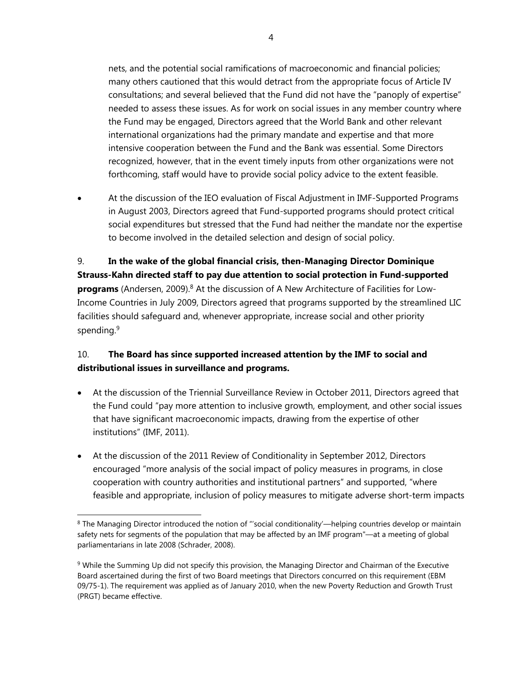nets, and the potential social ramifications of macroeconomic and financial policies; many others cautioned that this would detract from the appropriate focus of Article IV consultations; and several believed that the Fund did not have the "panoply of expertise" needed to assess these issues. As for work on social issues in any member country where the Fund may be engaged, Directors agreed that the World Bank and other relevant international organizations had the primary mandate and expertise and that more intensive cooperation between the Fund and the Bank was essential. Some Directors recognized, however, that in the event timely inputs from other organizations were not forthcoming, staff would have to provide social policy advice to the extent feasible.

 At the discussion of the IEO evaluation of Fiscal Adjustment in IMF-Supported Programs in August 2003, Directors agreed that Fund-supported programs should protect critical social expenditures but stressed that the Fund had neither the mandate nor the expertise to become involved in the detailed selection and design of social policy.

9. **In the wake of the global financial crisis, then-Managing Director Dominique Strauss-Kahn directed staff to pay due attention to social protection in Fund-supported**  programs (Andersen, 2009).<sup>8</sup> At the discussion of A New Architecture of Facilities for Low-Income Countries in July 2009, Directors agreed that programs supported by the streamlined LIC facilities should safeguard and, whenever appropriate, increase social and other priority spending.<sup>9</sup>

# 10. **The Board has since supported increased attention by the IMF to social and distributional issues in surveillance and programs.**

- At the discussion of the Triennial Surveillance Review in October 2011, Directors agreed that the Fund could "pay more attention to inclusive growth, employment, and other social issues that have significant macroeconomic impacts, drawing from the expertise of other institutions" (IMF, 2011).
- At the discussion of the 2011 Review of Conditionality in September 2012, Directors encouraged "more analysis of the social impact of policy measures in programs, in close cooperation with country authorities and institutional partners" and supported, "where feasible and appropriate, inclusion of policy measures to mitigate adverse short-term impacts

<sup>8</sup> The Managing Director introduced the notion of "'social conditionality'—helping countries develop or maintain safety nets for segments of the population that may be affected by an IMF program"—at a meeting of global parliamentarians in late 2008 (Schrader, 2008).

<sup>&</sup>lt;sup>9</sup> While the Summing Up did not specify this provision, the Managing Director and Chairman of the Executive Board ascertained during the first of two Board meetings that Directors concurred on this requirement (EBM 09/75-1). The requirement was applied as of January 2010, when the new Poverty Reduction and Growth Trust (PRGT) became effective.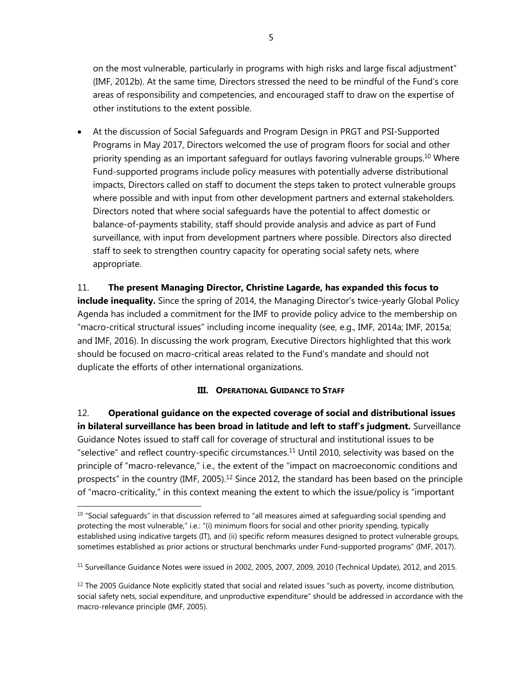on the most vulnerable, particularly in programs with high risks and large fiscal adjustment" (IMF, 2012b). At the same time, Directors stressed the need to be mindful of the Fund's core areas of responsibility and competencies, and encouraged staff to draw on the expertise of other institutions to the extent possible.

 At the discussion of Social Safeguards and Program Design in PRGT and PSI-Supported Programs in May 2017, Directors welcomed the use of program floors for social and other priority spending as an important safeguard for outlays favoring vulnerable groups.10 Where Fund-supported programs include policy measures with potentially adverse distributional impacts, Directors called on staff to document the steps taken to protect vulnerable groups where possible and with input from other development partners and external stakeholders. Directors noted that where social safeguards have the potential to affect domestic or balance-of-payments stability, staff should provide analysis and advice as part of Fund surveillance, with input from development partners where possible. Directors also directed staff to seek to strengthen country capacity for operating social safety nets, where appropriate.

## 11. **The present Managing Director, Christine Lagarde, has expanded this focus to**

**include inequality.** Since the spring of 2014, the Managing Director's twice-yearly Global Policy Agenda has included a commitment for the IMF to provide policy advice to the membership on "macro-critical structural issues" including income inequality (see, e.g., IMF, 2014a; IMF, 2015a; and IMF, 2016). In discussing the work program, Executive Directors highlighted that this work should be focused on macro-critical areas related to the Fund's mandate and should not duplicate the efforts of other international organizations.

#### **III. OPERATIONAL GUIDANCE TO STAFF**

12. **Operational guidance on the expected coverage of social and distributional issues in bilateral surveillance has been broad in latitude and left to staff's judgment.** Surveillance Guidance Notes issued to staff call for coverage of structural and institutional issues to be "selective" and reflect country-specific circumstances.<sup>11</sup> Until 2010, selectivity was based on the principle of "macro-relevance," i.e., the extent of the "impact on macroeconomic conditions and prospects" in the country (IMF, 2005).<sup>12</sup> Since 2012, the standard has been based on the principle of "macro-criticality," in this context meaning the extent to which the issue/policy is "important

l

 $10$  "Social safeguards" in that discussion referred to "all measures aimed at safeguarding social spending and protecting the most vulnerable," i.e.: "(i) minimum floors for social and other priority spending, typically established using indicative targets (IT), and (ii) specific reform measures designed to protect vulnerable groups, sometimes established as prior actions or structural benchmarks under Fund-supported programs" (IMF, 2017).

<sup>11</sup> Surveillance Guidance Notes were issued in 2002, 2005, 2007, 2009, 2010 (Technical Update), 2012, and 2015.

 $12$  The 2005 Guidance Note explicitly stated that social and related issues "such as poverty, income distribution, social safety nets, social expenditure, and unproductive expenditure" should be addressed in accordance with the macro-relevance principle (IMF, 2005).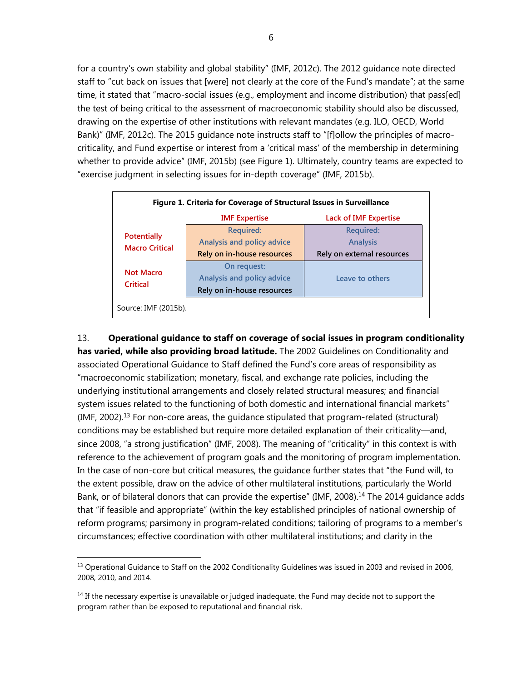for a country's own stability and global stability" (IMF, 2012c). The 2012 guidance note directed staff to "cut back on issues that [were] not clearly at the core of the Fund's mandate"; at the same time, it stated that "macro-social issues (e.g., employment and income distribution) that pass[ed] the test of being critical to the assessment of macroeconomic stability should also be discussed, drawing on the expertise of other institutions with relevant mandates (e.g. ILO, OECD, World Bank)" (IMF, 2012c). The 2015 guidance note instructs staff to "[f]ollow the principles of macrocriticality, and Fund expertise or interest from a 'critical mass' of the membership in determining whether to provide advice" (IMF, 2015b) (see Figure 1). Ultimately, country teams are expected to "exercise judgment in selecting issues for in-depth coverage" (IMF, 2015b).

| Figure 1. Criteria for Coverage of Structural Issues in Surveillance |                                   |                              |  |
|----------------------------------------------------------------------|-----------------------------------|------------------------------|--|
|                                                                      | <b>IMF</b> Expertise              | <b>Lack of IMF Expertise</b> |  |
|                                                                      | <b>Required:</b>                  | <b>Required:</b>             |  |
| <b>Potentially</b><br><b>Macro Critical</b>                          | <b>Analysis and policy advice</b> | <b>Analysis</b>              |  |
|                                                                      | Rely on in-house resources        | Rely on external resources   |  |
| <b>Not Macro</b>                                                     | On request:                       |                              |  |
| <b>Critical</b>                                                      | <b>Analysis and policy advice</b> | Leave to others              |  |
|                                                                      | Rely on in-house resources        |                              |  |
| Source: IMF (2015b).                                                 |                                   |                              |  |

13. **Operational guidance to staff on coverage of social issues in program conditionality has varied, while also providing broad latitude.** The 2002 Guidelines on Conditionality and associated Operational Guidance to Staff defined the Fund's core areas of responsibility as "macroeconomic stabilization; monetary, fiscal, and exchange rate policies, including the underlying institutional arrangements and closely related structural measures; and financial system issues related to the functioning of both domestic and international financial markets"  $(IMF, 2002).<sup>13</sup>$  For non-core areas, the quidance stipulated that program-related (structural) conditions may be established but require more detailed explanation of their criticality—and, since 2008, "a strong justification" (IMF, 2008). The meaning of "criticality" in this context is with reference to the achievement of program goals and the monitoring of program implementation. In the case of non-core but critical measures, the guidance further states that "the Fund will, to the extent possible, draw on the advice of other multilateral institutions, particularly the World Bank, or of bilateral donors that can provide the expertise" (IMF, 2008).<sup>14</sup> The 2014 guidance adds that "if feasible and appropriate" (within the key established principles of national ownership of reform programs; parsimony in program-related conditions; tailoring of programs to a member's circumstances; effective coordination with other multilateral institutions; and clarity in the

<sup>&</sup>lt;sup>13</sup> Operational Guidance to Staff on the 2002 Conditionality Guidelines was issued in 2003 and revised in 2006, 2008, 2010, and 2014.

<sup>&</sup>lt;sup>14</sup> If the necessary expertise is unavailable or judged inadequate, the Fund may decide not to support the program rather than be exposed to reputational and financial risk.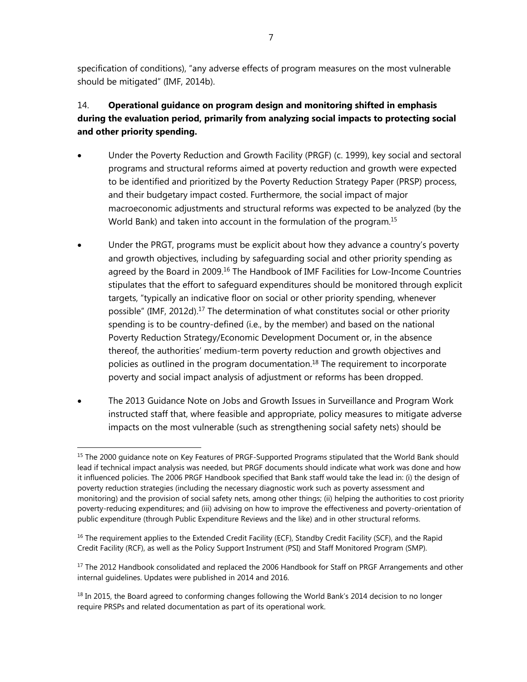specification of conditions), "any adverse effects of program measures on the most vulnerable should be mitigated" (IMF, 2014b).

# 14. **Operational guidance on program design and monitoring shifted in emphasis during the evaluation period, primarily from analyzing social impacts to protecting social and other priority spending.**

- Under the Poverty Reduction and Growth Facility (PRGF) (c. 1999), key social and sectoral programs and structural reforms aimed at poverty reduction and growth were expected to be identified and prioritized by the Poverty Reduction Strategy Paper (PRSP) process, and their budgetary impact costed. Furthermore, the social impact of major macroeconomic adjustments and structural reforms was expected to be analyzed (by the World Bank) and taken into account in the formulation of the program.<sup>15</sup>
- Under the PRGT, programs must be explicit about how they advance a country's poverty and growth objectives, including by safeguarding social and other priority spending as agreed by the Board in 2009.<sup>16</sup> The Handbook of IMF Facilities for Low-Income Countries stipulates that the effort to safeguard expenditures should be monitored through explicit targets, "typically an indicative floor on social or other priority spending, whenever possible" (IMF, 2012d).<sup>17</sup> The determination of what constitutes social or other priority spending is to be country-defined (i.e., by the member) and based on the national Poverty Reduction Strategy/Economic Development Document or, in the absence thereof, the authorities' medium-term poverty reduction and growth objectives and policies as outlined in the program documentation.<sup>18</sup> The requirement to incorporate poverty and social impact analysis of adjustment or reforms has been dropped.
- The 2013 Guidance Note on Jobs and Growth Issues in Surveillance and Program Work instructed staff that, where feasible and appropriate, policy measures to mitigate adverse impacts on the most vulnerable (such as strengthening social safety nets) should be

<sup>&</sup>lt;sup>15</sup> The 2000 quidance note on Key Features of PRGF-Supported Programs stipulated that the World Bank should lead if technical impact analysis was needed, but PRGF documents should indicate what work was done and how it influenced policies. The 2006 PRGF Handbook specified that Bank staff would take the lead in: (i) the design of poverty reduction strategies (including the necessary diagnostic work such as poverty assessment and monitoring) and the provision of social safety nets, among other things; (ii) helping the authorities to cost priority poverty-reducing expenditures; and (iii) advising on how to improve the effectiveness and poverty-orientation of public expenditure (through Public Expenditure Reviews and the like) and in other structural reforms.

<sup>&</sup>lt;sup>16</sup> The requirement applies to the Extended Credit Facility (ECF), Standby Credit Facility (SCF), and the Rapid Credit Facility (RCF), as well as the Policy Support Instrument (PSI) and Staff Monitored Program (SMP).

 $17$  The 2012 Handbook consolidated and replaced the 2006 Handbook for Staff on PRGF Arrangements and other internal guidelines. Updates were published in 2014 and 2016.

<sup>&</sup>lt;sup>18</sup> In 2015, the Board agreed to conforming changes following the World Bank's 2014 decision to no longer require PRSPs and related documentation as part of its operational work.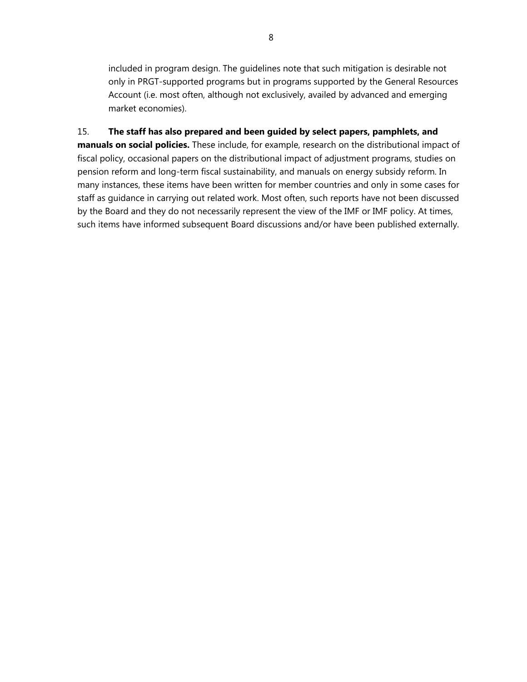included in program design. The guidelines note that such mitigation is desirable not only in PRGT-supported programs but in programs supported by the General Resources Account (i.e. most often, although not exclusively, availed by advanced and emerging market economies).

15. **The staff has also prepared and been guided by select papers, pamphlets, and manuals on social policies.** These include, for example, research on the distributional impact of fiscal policy, occasional papers on the distributional impact of adjustment programs, studies on pension reform and long-term fiscal sustainability, and manuals on energy subsidy reform. In many instances, these items have been written for member countries and only in some cases for staff as guidance in carrying out related work. Most often, such reports have not been discussed by the Board and they do not necessarily represent the view of the IMF or IMF policy. At times, such items have informed subsequent Board discussions and/or have been published externally.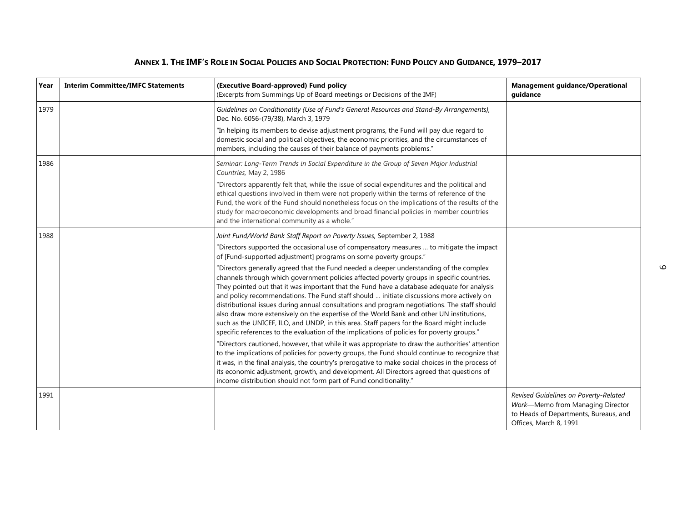| Year | <b>Interim Committee/IMFC Statements</b> | (Executive Board-approved) Fund policy<br>(Excerpts from Summings Up of Board meetings or Decisions of the IMF)                                                                                                                                                                                                                                                                                                                                                                                                                                                                                                                                                                                                                                                      | <b>Management guidance/Operational</b><br>guidance                                                                                           |
|------|------------------------------------------|----------------------------------------------------------------------------------------------------------------------------------------------------------------------------------------------------------------------------------------------------------------------------------------------------------------------------------------------------------------------------------------------------------------------------------------------------------------------------------------------------------------------------------------------------------------------------------------------------------------------------------------------------------------------------------------------------------------------------------------------------------------------|----------------------------------------------------------------------------------------------------------------------------------------------|
| 1979 |                                          | Guidelines on Conditionality (Use of Fund's General Resources and Stand-By Arrangements),<br>Dec. No. 6056-(79/38), March 3, 1979                                                                                                                                                                                                                                                                                                                                                                                                                                                                                                                                                                                                                                    |                                                                                                                                              |
|      |                                          | "In helping its members to devise adjustment programs, the Fund will pay due regard to<br>domestic social and political objectives, the economic priorities, and the circumstances of<br>members, including the causes of their balance of payments problems."                                                                                                                                                                                                                                                                                                                                                                                                                                                                                                       |                                                                                                                                              |
| 1986 |                                          | Seminar: Long-Term Trends in Social Expenditure in the Group of Seven Major Industrial<br>Countries, May 2, 1986                                                                                                                                                                                                                                                                                                                                                                                                                                                                                                                                                                                                                                                     |                                                                                                                                              |
|      |                                          | "Directors apparently felt that, while the issue of social expenditures and the political and<br>ethical questions involved in them were not properly within the terms of reference of the<br>Fund, the work of the Fund should nonetheless focus on the implications of the results of the<br>study for macroeconomic developments and broad financial policies in member countries<br>and the international community as a whole."                                                                                                                                                                                                                                                                                                                                 |                                                                                                                                              |
| 1988 |                                          | Joint Fund/World Bank Staff Report on Poverty Issues, September 2, 1988                                                                                                                                                                                                                                                                                                                                                                                                                                                                                                                                                                                                                                                                                              |                                                                                                                                              |
|      |                                          | "Directors supported the occasional use of compensatory measures  to mitigate the impact<br>of [Fund-supported adjustment] programs on some poverty groups."                                                                                                                                                                                                                                                                                                                                                                                                                                                                                                                                                                                                         |                                                                                                                                              |
|      |                                          | "Directors generally agreed that the Fund needed a deeper understanding of the complex<br>channels through which government policies affected poverty groups in specific countries.<br>They pointed out that it was important that the Fund have a database adequate for analysis<br>and policy recommendations. The Fund staff should  initiate discussions more actively on<br>distributional issues during annual consultations and program negotiations. The staff should<br>also draw more extensively on the expertise of the World Bank and other UN institutions,<br>such as the UNICEF, ILO, and UNDP, in this area. Staff papers for the Board might include<br>specific references to the evaluation of the implications of policies for poverty groups." |                                                                                                                                              |
|      |                                          | "Directors cautioned, however, that while it was appropriate to draw the authorities' attention<br>to the implications of policies for poverty groups, the Fund should continue to recognize that<br>it was, in the final analysis, the country's prerogative to make social choices in the process of<br>its economic adjustment, growth, and development. All Directors agreed that questions of<br>income distribution should not form part of Fund conditionality."                                                                                                                                                                                                                                                                                              |                                                                                                                                              |
| 1991 |                                          |                                                                                                                                                                                                                                                                                                                                                                                                                                                                                                                                                                                                                                                                                                                                                                      | Revised Guidelines on Poverty-Related<br>Work-Memo from Managing Director<br>to Heads of Departments, Bureaus, and<br>Offices, March 8, 1991 |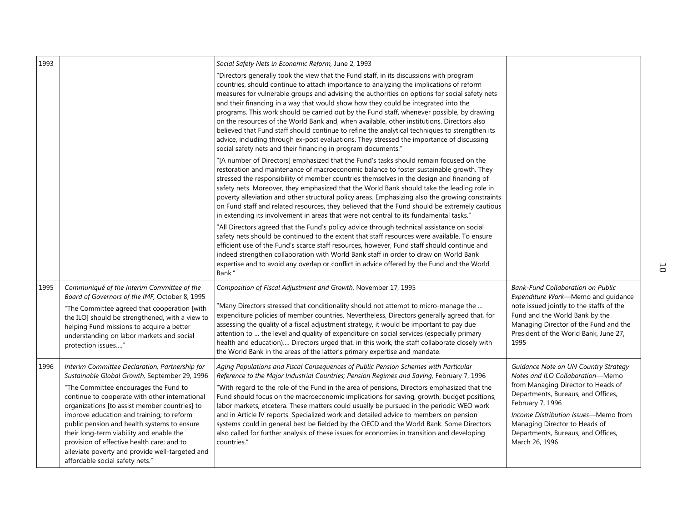| 1993 |                                                                                                                                                                                                                                                                                                                                                                                                                                                                                                                         | Social Safety Nets in Economic Reform, June 2, 1993                                                                                                                                                                                                                                                                                                                                                                                                                                                                                                                                                                                                                                                                                                                                                                                   |                                                                                                                                                                                                                                                                                                           |   |
|------|-------------------------------------------------------------------------------------------------------------------------------------------------------------------------------------------------------------------------------------------------------------------------------------------------------------------------------------------------------------------------------------------------------------------------------------------------------------------------------------------------------------------------|---------------------------------------------------------------------------------------------------------------------------------------------------------------------------------------------------------------------------------------------------------------------------------------------------------------------------------------------------------------------------------------------------------------------------------------------------------------------------------------------------------------------------------------------------------------------------------------------------------------------------------------------------------------------------------------------------------------------------------------------------------------------------------------------------------------------------------------|-----------------------------------------------------------------------------------------------------------------------------------------------------------------------------------------------------------------------------------------------------------------------------------------------------------|---|
|      |                                                                                                                                                                                                                                                                                                                                                                                                                                                                                                                         | "Directors generally took the view that the Fund staff, in its discussions with program<br>countries, should continue to attach importance to analyzing the implications of reform<br>measures for vulnerable groups and advising the authorities on options for social safety nets<br>and their financing in a way that would show how they could be integrated into the<br>programs. This work should be carried out by the Fund staff, whenever possible, by drawing<br>on the resources of the World Bank and, when available, other institutions. Directors also<br>believed that Fund staff should continue to refine the analytical techniques to strengthen its<br>advice, including through ex-post evaluations. They stressed the importance of discussing<br>social safety nets and their financing in program documents." |                                                                                                                                                                                                                                                                                                           |   |
|      |                                                                                                                                                                                                                                                                                                                                                                                                                                                                                                                         | "[A number of Directors] emphasized that the Fund's tasks should remain focused on the<br>restoration and maintenance of macroeconomic balance to foster sustainable growth. They<br>stressed the responsibility of member countries themselves in the design and financing of<br>safety nets. Moreover, they emphasized that the World Bank should take the leading role in<br>poverty alleviation and other structural policy areas. Emphasizing also the growing constraints<br>on Fund staff and related resources, they believed that the Fund should be extremely cautious<br>in extending its involvement in areas that were not central to its fundamental tasks."                                                                                                                                                            |                                                                                                                                                                                                                                                                                                           |   |
|      |                                                                                                                                                                                                                                                                                                                                                                                                                                                                                                                         | "All Directors agreed that the Fund's policy advice through technical assistance on social<br>safety nets should be continued to the extent that staff resources were available. To ensure<br>efficient use of the Fund's scarce staff resources, however, Fund staff should continue and<br>indeed strengthen collaboration with World Bank staff in order to draw on World Bank<br>expertise and to avoid any overlap or conflict in advice offered by the Fund and the World<br>Bank."                                                                                                                                                                                                                                                                                                                                             |                                                                                                                                                                                                                                                                                                           | 5 |
| 1995 | Communiqué of the Interim Committee of the<br>Board of Governors of the IMF, October 8, 1995<br>"The Committee agreed that cooperation [with<br>the ILO] should be strengthened, with a view to<br>helping Fund missions to acquire a better<br>understanding on labor markets and social<br>protection issues"                                                                                                                                                                                                         | Composition of Fiscal Adjustment and Growth, November 17, 1995<br>'Many Directors stressed that conditionality should not attempt to micro-manage the<br>expenditure policies of member countries. Nevertheless, Directors generally agreed that, for<br>assessing the quality of a fiscal adjustment strategy, it would be important to pay due<br>attention to  the level and quality of expenditure on social services (especially primary<br>health and education) Directors urged that, in this work, the staff collaborate closely with<br>the World Bank in the areas of the latter's primary expertise and mandate.                                                                                                                                                                                                           | <b>Bank-Fund Collaboration on Public</b><br>Expenditure Work-Memo and guidance<br>note issued jointly to the staffs of the<br>Fund and the World Bank by the<br>Managing Director of the Fund and the<br>President of the World Bank, June 27,<br>1995                                                    |   |
| 1996 | Interim Committee Declaration, Partnership for<br>Sustainable Global Growth, September 29, 1996<br>"The Committee encourages the Fund to<br>continue to cooperate with other international<br>organizations [to assist member countries] to<br>improve education and training; to reform<br>public pension and health systems to ensure<br>their long-term viability and enable the<br>provision of effective health care; and to<br>alleviate poverty and provide well-targeted and<br>affordable social safety nets." | Aging Populations and Fiscal Consequences of Public Pension Schemes with Particular<br>Reference to the Major Industrial Countries; Pension Regimes and Saving, February 7, 1996<br>"With regard to the role of the Fund in the area of pensions, Directors emphasized that the<br>Fund should focus on the macroeconomic implications for saving, growth, budget positions,<br>labor markets, etcetera. These matters could usually be pursued in the periodic WEO work<br>and in Article IV reports. Specialized work and detailed advice to members on pension<br>systems could in general best be fielded by the OECD and the World Bank. Some Directors<br>also called for further analysis of these issues for economies in transition and developing<br>countries."                                                            | Guidance Note on UN Country Strategy<br>Notes and ILO Collaboration-Memo<br>from Managing Director to Heads of<br>Departments, Bureaus, and Offices,<br>February 7, 1996<br>Income Distribution Issues-Memo from<br>Managing Director to Heads of<br>Departments, Bureaus, and Offices,<br>March 26, 1996 |   |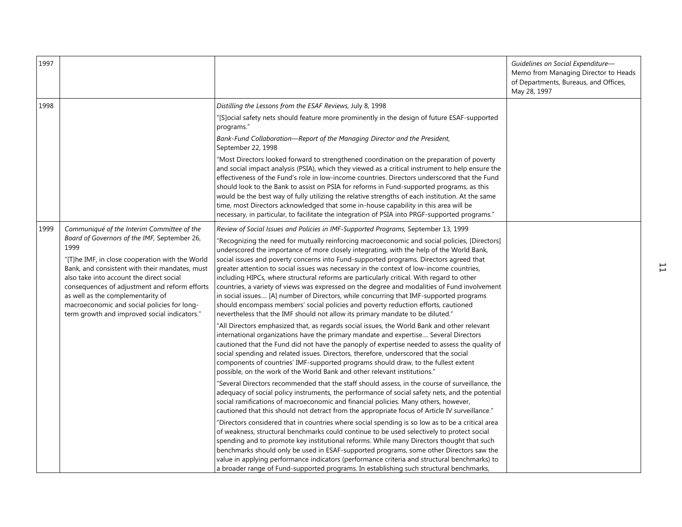| 1997 |                                                                                                                                                                                                                                                                                                                                                                                                                                          |                                                                                                                                                                                                                                                                                                                                                                                                                                                                                                                                                                                                                                                                                                                                                                                                                                                                                                                                                                                                                                                                                                                                                                                                                                                                                                                                                                                                                                                                                                                                                                                             | Guidelines on Social Expenditure-<br>Memo from Managing Director to Heads<br>of Departments, Bureaus, and Offices,<br>May 28, 1997 |   |
|------|------------------------------------------------------------------------------------------------------------------------------------------------------------------------------------------------------------------------------------------------------------------------------------------------------------------------------------------------------------------------------------------------------------------------------------------|---------------------------------------------------------------------------------------------------------------------------------------------------------------------------------------------------------------------------------------------------------------------------------------------------------------------------------------------------------------------------------------------------------------------------------------------------------------------------------------------------------------------------------------------------------------------------------------------------------------------------------------------------------------------------------------------------------------------------------------------------------------------------------------------------------------------------------------------------------------------------------------------------------------------------------------------------------------------------------------------------------------------------------------------------------------------------------------------------------------------------------------------------------------------------------------------------------------------------------------------------------------------------------------------------------------------------------------------------------------------------------------------------------------------------------------------------------------------------------------------------------------------------------------------------------------------------------------------|------------------------------------------------------------------------------------------------------------------------------------|---|
| 1998 |                                                                                                                                                                                                                                                                                                                                                                                                                                          | Distilling the Lessons from the ESAF Reviews, July 8, 1998<br>"[S]ocial safety nets should feature more prominently in the design of future ESAF-supported<br>programs."<br>Bank-Fund Collaboration-Report of the Managing Director and the President,<br>September 22, 1998<br>"Most Directors looked forward to strengthened coordination on the preparation of poverty<br>and social impact analysis (PSIA), which they viewed as a critical instrument to help ensure the<br>effectiveness of the Fund's role in low-income countries. Directors underscored that the Fund<br>should look to the Bank to assist on PSIA for reforms in Fund-supported programs, as this<br>would be the best way of fully utilizing the relative strengths of each institution. At the same<br>time, most Directors acknowledged that some in-house capability in this area will be<br>necessary, in particular, to facilitate the integration of PSIA into PRGF-supported programs."                                                                                                                                                                                                                                                                                                                                                                                                                                                                                                                                                                                                                   |                                                                                                                                    |   |
| 1999 | Communiqué of the Interim Committee of the<br>Board of Governors of the IMF, September 26,<br>1999<br>"[T]he IMF, in close cooperation with the World<br>Bank, and consistent with their mandates, must<br>also take into account the direct social<br>consequences of adjustment and reform efforts<br>as well as the complementarity of<br>macroeconomic and social policies for long-<br>term growth and improved social indicators." | Review of Social Issues and Policies in IMF-Supported Programs, September 13, 1999<br>"Recognizing the need for mutually reinforcing macroeconomic and social policies, [Directors]<br>underscored the importance of more closely integrating, with the help of the World Bank,<br>social issues and poverty concerns into Fund-supported programs. Directors agreed that<br>greater attention to social issues was necessary in the context of low-income countries,<br>including HIPCs, where structural reforms are particularly critical. With regard to other<br>countries, a variety of views was expressed on the degree and modalities of Fund involvement<br>in social issues [A] number of Directors, while concurring that IMF-supported programs<br>should encompass members' social policies and poverty reduction efforts, cautioned<br>nevertheless that the IMF should not allow its primary mandate to be diluted."<br>"All Directors emphasized that, as regards social issues, the World Bank and other relevant<br>international organizations have the primary mandate and expertise Several Directors<br>cautioned that the Fund did not have the panoply of expertise needed to assess the quality of<br>social spending and related issues. Directors, therefore, underscored that the social<br>components of countries' IMF-supported programs should draw, to the fullest extent<br>possible, on the work of the World Bank and other relevant institutions."<br>"Several Directors recommended that the staff should assess, in the course of surveillance, the |                                                                                                                                    | 旨 |
|      |                                                                                                                                                                                                                                                                                                                                                                                                                                          | adequacy of social policy instruments, the performance of social safety nets, and the potential<br>social ramifications of macroeconomic and financial policies. Many others, however,<br>cautioned that this should not detract from the appropriate focus of Article IV surveillance."<br>"Directors considered that in countries where social spending is so low as to be a critical area<br>of weakness, structural benchmarks could continue to be used selectively to protect social<br>spending and to promote key institutional reforms. While many Directors thought that such<br>benchmarks should only be used in ESAF-supported programs, some other Directors saw the<br>value in applying performance indicators (performance criteria and structural benchmarks) to<br>a broader range of Fund-supported programs. In establishing such structural benchmarks,                                                                                                                                                                                                                                                                                                                                                                                                                                                                                                                                                                                                                                                                                                               |                                                                                                                                    |   |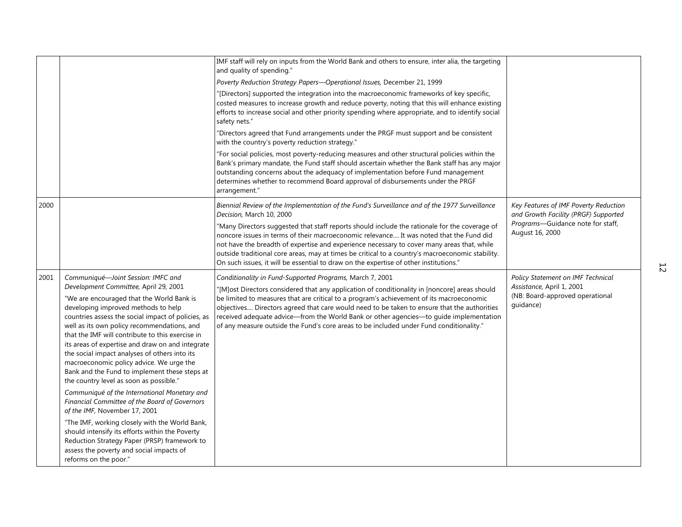|      |                                                                                                                                                                                                                                                                                                                                                                                                                                                                                        | IMF staff will rely on inputs from the World Bank and others to ensure, inter alia, the targeting<br>and quality of spending."                                                                                                                                                                                                                                                                                                                                                      |                                                                               |    |
|------|----------------------------------------------------------------------------------------------------------------------------------------------------------------------------------------------------------------------------------------------------------------------------------------------------------------------------------------------------------------------------------------------------------------------------------------------------------------------------------------|-------------------------------------------------------------------------------------------------------------------------------------------------------------------------------------------------------------------------------------------------------------------------------------------------------------------------------------------------------------------------------------------------------------------------------------------------------------------------------------|-------------------------------------------------------------------------------|----|
|      |                                                                                                                                                                                                                                                                                                                                                                                                                                                                                        | Poverty Reduction Strategy Papers-Operational Issues, December 21, 1999                                                                                                                                                                                                                                                                                                                                                                                                             |                                                                               |    |
|      |                                                                                                                                                                                                                                                                                                                                                                                                                                                                                        | "[Directors] supported the integration into the macroeconomic frameworks of key specific,<br>costed measures to increase growth and reduce poverty, noting that this will enhance existing<br>efforts to increase social and other priority spending where appropriate, and to identify social<br>safety nets."                                                                                                                                                                     |                                                                               |    |
|      |                                                                                                                                                                                                                                                                                                                                                                                                                                                                                        | 'Directors agreed that Fund arrangements under the PRGF must support and be consistent<br>with the country's poverty reduction strategy."                                                                                                                                                                                                                                                                                                                                           |                                                                               |    |
|      |                                                                                                                                                                                                                                                                                                                                                                                                                                                                                        | "For social policies, most poverty-reducing measures and other structural policies within the<br>Bank's primary mandate, the Fund staff should ascertain whether the Bank staff has any major<br>outstanding concerns about the adequacy of implementation before Fund management<br>determines whether to recommend Board approval of disbursements under the PRGF<br>arrangement."                                                                                                |                                                                               |    |
| 2000 |                                                                                                                                                                                                                                                                                                                                                                                                                                                                                        | Biennial Review of the Implementation of the Fund's Surveillance and of the 1977 Surveillance<br>Decision, March 10, 2000                                                                                                                                                                                                                                                                                                                                                           | Key Features of IMF Poverty Reduction<br>and Growth Facility (PRGF) Supported |    |
|      |                                                                                                                                                                                                                                                                                                                                                                                                                                                                                        | "Many Directors suggested that staff reports should include the rationale for the coverage of<br>noncore issues in terms of their macroeconomic relevance It was noted that the Fund did<br>not have the breadth of expertise and experience necessary to cover many areas that, while<br>outside traditional core areas, may at times be critical to a country's macroeconomic stability.<br>On such issues, it will be essential to draw on the expertise of other institutions." | Programs-Guidance note for staff,<br>August 16, 2000                          | 52 |
| 2001 | Communiqué-Joint Session: IMFC and<br>Development Committee, April 29, 2001                                                                                                                                                                                                                                                                                                                                                                                                            | Conditionality in Fund-Supported Programs, March 7, 2001<br>"[M]ost Directors considered that any application of conditionality in [noncore] areas should                                                                                                                                                                                                                                                                                                                           | Policy Statement on IMF Technical<br>Assistance, April 1, 2001                |    |
|      | "We are encouraged that the World Bank is<br>developing improved methods to help<br>countries assess the social impact of policies, as<br>well as its own policy recommendations, and<br>that the IMF will contribute to this exercise in<br>its areas of expertise and draw on and integrate<br>the social impact analyses of others into its<br>macroeconomic policy advice. We urge the<br>Bank and the Fund to implement these steps at<br>the country level as soon as possible." | be limited to measures that are critical to a program's achievement of its macroeconomic<br>objectives Directors agreed that care would need to be taken to ensure that the authorities<br>received adequate advice-from the World Bank or other agencies-to guide implementation<br>of any measure outside the Fund's core areas to be included under Fund conditionality."                                                                                                        | (NB: Board-approved operational<br>quidance)                                  |    |
|      | Communiqué of the International Monetary and<br>Financial Committee of the Board of Governors<br>of the IMF, November 17, 2001                                                                                                                                                                                                                                                                                                                                                         |                                                                                                                                                                                                                                                                                                                                                                                                                                                                                     |                                                                               |    |
|      | "The IMF, working closely with the World Bank,<br>should intensify its efforts within the Poverty<br>Reduction Strategy Paper (PRSP) framework to<br>assess the poverty and social impacts of<br>reforms on the poor."                                                                                                                                                                                                                                                                 |                                                                                                                                                                                                                                                                                                                                                                                                                                                                                     |                                                                               |    |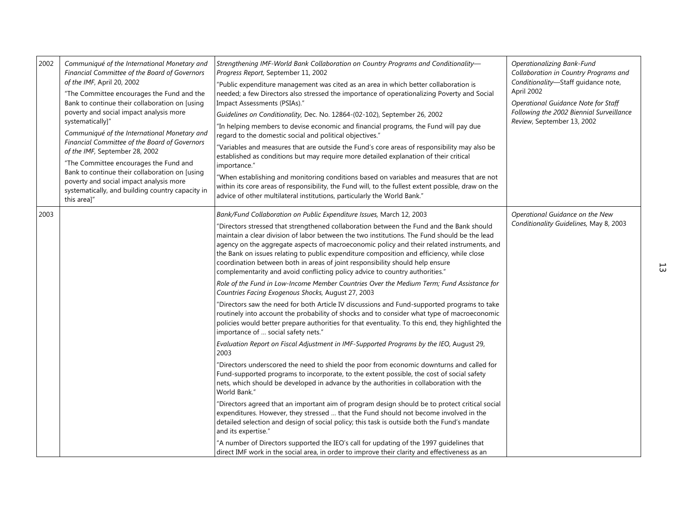| Communiqué of the International Monetary and<br>Financial Committee of the Board of Governors<br>of the IMF, April 20, 2002<br>"The Committee encourages the Fund and the<br>Bank to continue their collaboration on [using<br>poverty and social impact analysis more<br>systematically]"<br>Communiqué of the International Monetary and<br>Financial Committee of the Board of Governors<br>of the IMF, September 28, 2002<br>"The Committee encourages the Fund and<br>Bank to continue their collaboration on [using<br>poverty and social impact analysis more<br>systematically, and building country capacity in<br>this areal" | Strengthening IMF-World Bank Collaboration on Country Programs and Conditionality-<br>Progress Report, September 11, 2002<br>"Public expenditure management was cited as an area in which better collaboration is<br>needed; a few Directors also stressed the importance of operationalizing Poverty and Social<br>Impact Assessments (PSIAs)."<br>Guidelines on Conditionality, Dec. No. 12864-(02-102), September 26, 2002<br>"In helping members to devise economic and financial programs, the Fund will pay due<br>regard to the domestic social and political objectives."<br>"Variables and measures that are outside the Fund's core areas of responsibility may also be<br>established as conditions but may require more detailed explanation of their critical<br>importance."<br>"When establishing and monitoring conditions based on variables and measures that are not<br>within its core areas of responsibility, the Fund will, to the fullest extent possible, draw on the<br>advice of other multilateral institutions, particularly the World Bank."                                                                                   | Operationalizing Bank-Fund<br>Collaboration in Country Programs and<br>Conditionality-Staff guidance note,<br>April 2002<br>Operational Guidance Note for Staff<br>Following the 2002 Biennial Surveillance<br>Review, September 13, 2002 |    |
|-----------------------------------------------------------------------------------------------------------------------------------------------------------------------------------------------------------------------------------------------------------------------------------------------------------------------------------------------------------------------------------------------------------------------------------------------------------------------------------------------------------------------------------------------------------------------------------------------------------------------------------------|--------------------------------------------------------------------------------------------------------------------------------------------------------------------------------------------------------------------------------------------------------------------------------------------------------------------------------------------------------------------------------------------------------------------------------------------------------------------------------------------------------------------------------------------------------------------------------------------------------------------------------------------------------------------------------------------------------------------------------------------------------------------------------------------------------------------------------------------------------------------------------------------------------------------------------------------------------------------------------------------------------------------------------------------------------------------------------------------------------------------------------------------------------------|-------------------------------------------------------------------------------------------------------------------------------------------------------------------------------------------------------------------------------------------|----|
|                                                                                                                                                                                                                                                                                                                                                                                                                                                                                                                                                                                                                                         | Bank/Fund Collaboration on Public Expenditure Issues, March 12, 2003<br>"Directors stressed that strengthened collaboration between the Fund and the Bank should<br>maintain a clear division of labor between the two institutions. The Fund should be the lead<br>agency on the aggregate aspects of macroeconomic policy and their related instruments, and<br>the Bank on issues relating to public expenditure composition and efficiency, while close<br>coordination between both in areas of joint responsibility should help ensure<br>complementarity and avoid conflicting policy advice to country authorities."<br>Role of the Fund in Low-Income Member Countries Over the Medium Term; Fund Assistance for                                                                                                                                                                                                                                                                                                                                                                                                                                    | Operational Guidance on the New<br>Conditionality Guidelines, May 8, 2003                                                                                                                                                                 | 53 |
|                                                                                                                                                                                                                                                                                                                                                                                                                                                                                                                                                                                                                                         | "Directors saw the need for both Article IV discussions and Fund-supported programs to take<br>routinely into account the probability of shocks and to consider what type of macroeconomic<br>policies would better prepare authorities for that eventuality. To this end, they highlighted the<br>importance of  social safety nets."<br>Evaluation Report on Fiscal Adjustment in IMF-Supported Programs by the IEO, August 29,<br>2003<br>"Directors underscored the need to shield the poor from economic downturns and called for<br>Fund-supported programs to incorporate, to the extent possible, the cost of social safety<br>nets, which should be developed in advance by the authorities in collaboration with the<br>World Bank."<br>"Directors agreed that an important aim of program design should be to protect critical social<br>expenditures. However, they stressed  that the Fund should not become involved in the<br>detailed selection and design of social policy; this task is outside both the Fund's mandate<br>and its expertise."<br>"A number of Directors supported the IEO's call for updating of the 1997 guidelines that |                                                                                                                                                                                                                                           |    |
|                                                                                                                                                                                                                                                                                                                                                                                                                                                                                                                                                                                                                                         |                                                                                                                                                                                                                                                                                                                                                                                                                                                                                                                                                                                                                                                                                                                                                                                                                                                                                                                                                                                                                                                                                                                                                              | Countries Facing Exogenous Shocks, August 27, 2003<br>direct IMF work in the social area, in order to improve their clarity and effectiveness as an                                                                                       |    |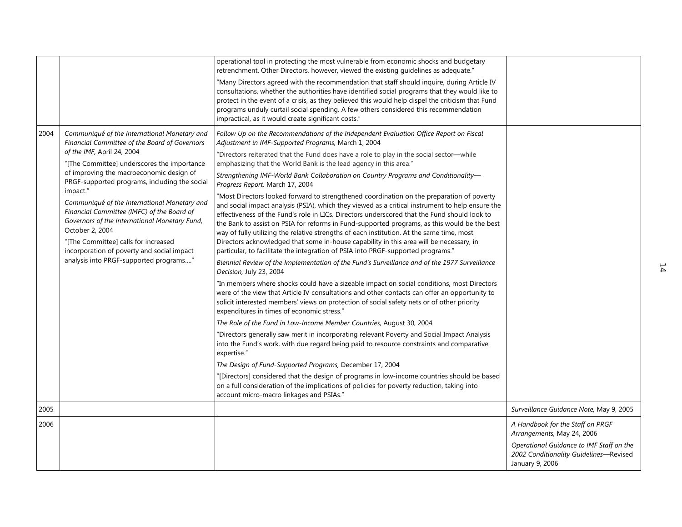|      |                                                                                                                                                                                                                                                                                                                                                                                                                                                                                                                                                                                       | operational tool in protecting the most vulnerable from economic shocks and budgetary<br>retrenchment. Other Directors, however, viewed the existing quidelines as adequate."<br>"Many Directors agreed with the recommendation that staff should inquire, during Article IV<br>consultations, whether the authorities have identified social programs that they would like to<br>protect in the event of a crisis, as they believed this would help dispel the criticism that Fund<br>programs unduly curtail social spending. A few others considered this recommendation<br>impractical, as it would create significant costs."                                                                                                                                                                                                                                                                                                                                                                                                                                                                                                                                                                                                                                                                                                                                                                                                                                                                                                                                                                                                                                                                                                                                                                                                                                                                                                                                                                                                                                                                                                                                                |                                                                                                                                                                         |    |
|------|---------------------------------------------------------------------------------------------------------------------------------------------------------------------------------------------------------------------------------------------------------------------------------------------------------------------------------------------------------------------------------------------------------------------------------------------------------------------------------------------------------------------------------------------------------------------------------------|-----------------------------------------------------------------------------------------------------------------------------------------------------------------------------------------------------------------------------------------------------------------------------------------------------------------------------------------------------------------------------------------------------------------------------------------------------------------------------------------------------------------------------------------------------------------------------------------------------------------------------------------------------------------------------------------------------------------------------------------------------------------------------------------------------------------------------------------------------------------------------------------------------------------------------------------------------------------------------------------------------------------------------------------------------------------------------------------------------------------------------------------------------------------------------------------------------------------------------------------------------------------------------------------------------------------------------------------------------------------------------------------------------------------------------------------------------------------------------------------------------------------------------------------------------------------------------------------------------------------------------------------------------------------------------------------------------------------------------------------------------------------------------------------------------------------------------------------------------------------------------------------------------------------------------------------------------------------------------------------------------------------------------------------------------------------------------------------------------------------------------------------------------------------------------------|-------------------------------------------------------------------------------------------------------------------------------------------------------------------------|----|
| 2004 | Communiqué of the International Monetary and<br>Financial Committee of the Board of Governors<br>of the IMF, April 24, 2004<br>"[The Committee] underscores the importance<br>of improving the macroeconomic design of<br>PRGF-supported programs, including the social<br>impact."<br>Communiqué of the International Monetary and<br>Financial Committee (IMFC) of the Board of<br>Governors of the International Monetary Fund,<br>October 2, 2004<br>"[The Committee] calls for increased<br>incorporation of poverty and social impact<br>analysis into PRGF-supported programs" | Follow Up on the Recommendations of the Independent Evaluation Office Report on Fiscal<br>Adjustment in IMF-Supported Programs, March 1, 2004<br>"Directors reiterated that the Fund does have a role to play in the social sector-while<br>emphasizing that the World Bank is the lead agency in this area."<br>Strengthening IMF-World Bank Collaboration on Country Programs and Conditionality-<br>Progress Report, March 17, 2004<br>"Most Directors looked forward to strengthened coordination on the preparation of poverty<br>and social impact analysis (PSIA), which they viewed as a critical instrument to help ensure the<br>effectiveness of the Fund's role in LICs. Directors underscored that the Fund should look to<br>the Bank to assist on PSIA for reforms in Fund-supported programs, as this would be the best<br>way of fully utilizing the relative strengths of each institution. At the same time, most<br>Directors acknowledged that some in-house capability in this area will be necessary, in<br>particular, to facilitate the integration of PSIA into PRGF-supported programs."<br>Biennial Review of the Implementation of the Fund's Surveillance and of the 1977 Surveillance<br>Decision, July 23, 2004<br>"In members where shocks could have a sizeable impact on social conditions, most Directors<br>were of the view that Article IV consultations and other contacts can offer an opportunity to<br>solicit interested members' views on protection of social safety nets or of other priority<br>expenditures in times of economic stress."<br>The Role of the Fund in Low-Income Member Countries, August 30, 2004<br>"Directors generally saw merit in incorporating relevant Poverty and Social Impact Analysis<br>into the Fund's work, with due regard being paid to resource constraints and comparative<br>expertise."<br>The Design of Fund-Supported Programs, December 17, 2004<br>"[Directors] considered that the design of programs in low-income countries should be based<br>on a full consideration of the implications of policies for poverty reduction, taking into<br>account micro-macro linkages and PSIAs." |                                                                                                                                                                         | 14 |
| 2005 |                                                                                                                                                                                                                                                                                                                                                                                                                                                                                                                                                                                       |                                                                                                                                                                                                                                                                                                                                                                                                                                                                                                                                                                                                                                                                                                                                                                                                                                                                                                                                                                                                                                                                                                                                                                                                                                                                                                                                                                                                                                                                                                                                                                                                                                                                                                                                                                                                                                                                                                                                                                                                                                                                                                                                                                                   | Surveillance Guidance Note, May 9, 2005                                                                                                                                 |    |
| 2006 |                                                                                                                                                                                                                                                                                                                                                                                                                                                                                                                                                                                       |                                                                                                                                                                                                                                                                                                                                                                                                                                                                                                                                                                                                                                                                                                                                                                                                                                                                                                                                                                                                                                                                                                                                                                                                                                                                                                                                                                                                                                                                                                                                                                                                                                                                                                                                                                                                                                                                                                                                                                                                                                                                                                                                                                                   | A Handbook for the Staff on PRGF<br>Arrangements, May 24, 2006<br>Operational Guidance to IMF Staff on the<br>2002 Conditionality Guidelines-Revised<br>January 9, 2006 |    |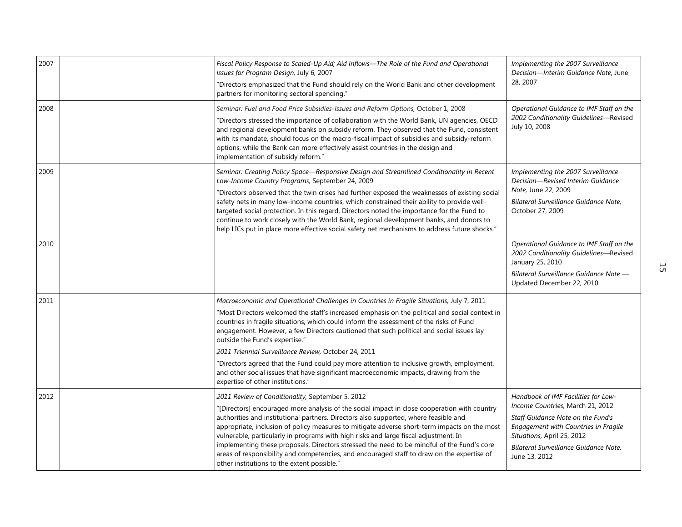| 2007 | Fiscal Policy Response to Scaled-Up Aid; Aid Inflows-The Role of the Fund and Operational<br>Issues for Program Design, July 6, 2007<br>"Directors emphasized that the Fund should rely on the World Bank and other development<br>partners for monitoring sectoral spending."                                                                                                                                                                                                                                                                                                                                                                                                                          | Implementing the 2007 Surveillance<br>Decision-Interim Guidance Note, June<br>28, 2007                                                                                                                                                       |
|------|---------------------------------------------------------------------------------------------------------------------------------------------------------------------------------------------------------------------------------------------------------------------------------------------------------------------------------------------------------------------------------------------------------------------------------------------------------------------------------------------------------------------------------------------------------------------------------------------------------------------------------------------------------------------------------------------------------|----------------------------------------------------------------------------------------------------------------------------------------------------------------------------------------------------------------------------------------------|
| 2008 | Seminar: Fuel and Food Price Subsidies-Issues and Reform Options, October 1, 2008<br>"Directors stressed the importance of collaboration with the World Bank, UN agencies, OECD<br>and regional development banks on subsidy reform. They observed that the Fund, consistent<br>with its mandate, should focus on the macro-fiscal impact of subsidies and subsidy-reform<br>options, while the Bank can more effectively assist countries in the design and<br>implementation of subsidy reform."                                                                                                                                                                                                      | Operational Guidance to IMF Staff on the<br>2002 Conditionality Guidelines-Revised<br>July 10, 2008                                                                                                                                          |
| 2009 | Seminar: Creating Policy Space-Responsive Design and Streamlined Conditionality in Recent<br>Low-Income Country Programs, September 24, 2009<br>"Directors observed that the twin crises had further exposed the weaknesses of existing social<br>safety nets in many low-income countries, which constrained their ability to provide well-<br>targeted social protection. In this regard, Directors noted the importance for the Fund to<br>continue to work closely with the World Bank, regional development banks, and donors to<br>help LICs put in place more effective social safety net mechanisms to address future shocks."                                                                  | Implementing the 2007 Surveillance<br>Decision-Revised Interim Guidance<br>Note, June 22, 2009<br>Bilateral Surveillance Guidance Note,<br>October 27, 2009                                                                                  |
| 2010 |                                                                                                                                                                                                                                                                                                                                                                                                                                                                                                                                                                                                                                                                                                         | Operational Guidance to IMF Staff on the<br>2002 Conditionality Guidelines-Revised<br>January 25, 2010<br>Bilateral Surveillance Guidance Note -<br>Updated December 22, 2010                                                                |
| 2011 | Macroeconomic and Operational Challenges in Countries in Fragile Situations, July 7, 2011<br>"Most Directors welcomed the staff's increased emphasis on the political and social context in<br>countries in fragile situations, which could inform the assessment of the risks of Fund<br>engagement. However, a few Directors cautioned that such political and social issues lay<br>outside the Fund's expertise."<br>2011 Triennial Surveillance Review, October 24, 2011<br>"Directors agreed that the Fund could pay more attention to inclusive growth, employment,<br>and other social issues that have significant macroeconomic impacts, drawing from the<br>expertise of other institutions." |                                                                                                                                                                                                                                              |
| 2012 | 2011 Review of Conditionality, September 5, 2012<br>"[Directors] encouraged more analysis of the social impact in close cooperation with country<br>authorities and institutional partners. Directors also supported, where feasible and<br>appropriate, inclusion of policy measures to mitigate adverse short-term impacts on the most<br>vulnerable, particularly in programs with high risks and large fiscal adjustment. In<br>implementing these proposals, Directors stressed the need to be mindful of the Fund's core<br>areas of responsibility and competencies, and encouraged staff to draw on the expertise of<br>other institutions to the extent possible."                             | Handbook of IMF Facilities for Low-<br>Income Countries, March 21, 2012<br>Staff Guidance Note on the Fund's<br>Engagement with Countries in Fragile<br>Situations, April 25, 2012<br>Bilateral Surveillance Guidance Note,<br>June 13, 2012 |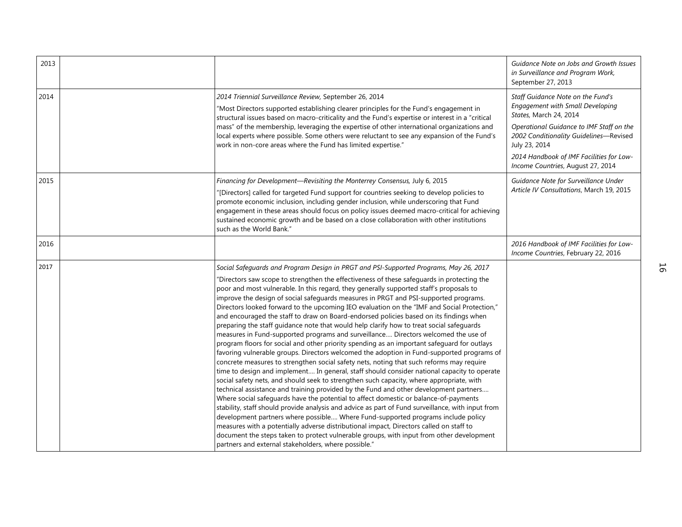| 2013 |                                                                                                                                                                                                                                                                                                                                                                                                                                                                                                                                                                                                                                                                                                                                                                                                                                                                                                                                                                                                                                                                                                                                                                                                                                                                                                                                                                                                                                                                                                                                                                                                                                                                                                                                                                                                                                                               | Guidance Note on Jobs and Growth Issues<br>in Surveillance and Program Work,<br>September 27, 2013                                                                                                                                                                                      |
|------|---------------------------------------------------------------------------------------------------------------------------------------------------------------------------------------------------------------------------------------------------------------------------------------------------------------------------------------------------------------------------------------------------------------------------------------------------------------------------------------------------------------------------------------------------------------------------------------------------------------------------------------------------------------------------------------------------------------------------------------------------------------------------------------------------------------------------------------------------------------------------------------------------------------------------------------------------------------------------------------------------------------------------------------------------------------------------------------------------------------------------------------------------------------------------------------------------------------------------------------------------------------------------------------------------------------------------------------------------------------------------------------------------------------------------------------------------------------------------------------------------------------------------------------------------------------------------------------------------------------------------------------------------------------------------------------------------------------------------------------------------------------------------------------------------------------------------------------------------------------|-----------------------------------------------------------------------------------------------------------------------------------------------------------------------------------------------------------------------------------------------------------------------------------------|
| 2014 | 2014 Triennial Surveillance Review, September 26, 2014<br>"Most Directors supported establishing clearer principles for the Fund's engagement in<br>structural issues based on macro-criticality and the Fund's expertise or interest in a "critical<br>mass" of the membership, leveraging the expertise of other international organizations and<br>local experts where possible. Some others were reluctant to see any expansion of the Fund's<br>work in non-core areas where the Fund has limited expertise."                                                                                                                                                                                                                                                                                                                                                                                                                                                                                                                                                                                                                                                                                                                                                                                                                                                                                                                                                                                                                                                                                                                                                                                                                                                                                                                                            | Staff Guidance Note on the Fund's<br>Engagement with Small Developing<br>States, March 24, 2014<br>Operational Guidance to IMF Staff on the<br>2002 Conditionality Guidelines-Revised<br>July 23, 2014<br>2014 Handbook of IMF Facilities for Low-<br>Income Countries, August 27, 2014 |
| 2015 | Financing for Development-Revisiting the Monterrey Consensus, July 6, 2015<br>"[Directors] called for targeted Fund support for countries seeking to develop policies to<br>promote economic inclusion, including gender inclusion, while underscoring that Fund<br>engagement in these areas should focus on policy issues deemed macro-critical for achieving<br>sustained economic growth and be based on a close collaboration with other institutions<br>such as the World Bank."                                                                                                                                                                                                                                                                                                                                                                                                                                                                                                                                                                                                                                                                                                                                                                                                                                                                                                                                                                                                                                                                                                                                                                                                                                                                                                                                                                        | Guidance Note for Surveillance Under<br>Article IV Consultations, March 19, 2015                                                                                                                                                                                                        |
| 2016 |                                                                                                                                                                                                                                                                                                                                                                                                                                                                                                                                                                                                                                                                                                                                                                                                                                                                                                                                                                                                                                                                                                                                                                                                                                                                                                                                                                                                                                                                                                                                                                                                                                                                                                                                                                                                                                                               | 2016 Handbook of IMF Facilities for Low-<br>Income Countries, February 22, 2016                                                                                                                                                                                                         |
| 2017 | Social Safeguards and Program Design in PRGT and PSI-Supported Programs, May 26, 2017<br>"Directors saw scope to strengthen the effectiveness of these safeguards in protecting the<br>poor and most vulnerable. In this regard, they generally supported staff's proposals to<br>improve the design of social safeguards measures in PRGT and PSI-supported programs.<br>Directors looked forward to the upcoming IEO evaluation on the "IMF and Social Protection,"<br>and encouraged the staff to draw on Board-endorsed policies based on its findings when<br>preparing the staff guidance note that would help clarify how to treat social safeguards<br>measures in Fund-supported programs and surveillance Directors welcomed the use of<br>program floors for social and other priority spending as an important safeguard for outlays<br>favoring vulnerable groups. Directors welcomed the adoption in Fund-supported programs of<br>concrete measures to strengthen social safety nets, noting that such reforms may require<br>time to design and implement In general, staff should consider national capacity to operate<br>social safety nets, and should seek to strengthen such capacity, where appropriate, with<br>technical assistance and training provided by the Fund and other development partners<br>Where social safeguards have the potential to affect domestic or balance-of-payments<br>stability, staff should provide analysis and advice as part of Fund surveillance, with input from<br>development partners where possible Where Fund-supported programs include policy<br>measures with a potentially adverse distributional impact, Directors called on staff to<br>document the steps taken to protect vulnerable groups, with input from other development<br>partners and external stakeholders, where possible." |                                                                                                                                                                                                                                                                                         |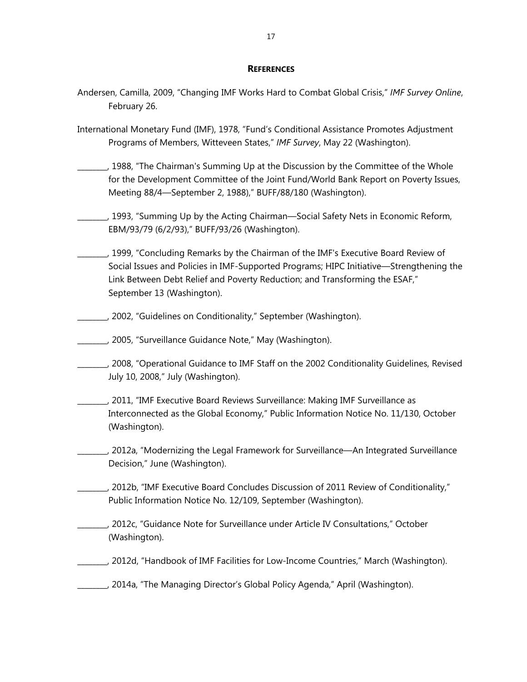#### **REFERENCES**

- Andersen, Camilla, 2009, "Changing IMF Works Hard to Combat Global Crisis," *IMF Survey Online*, February 26.
- International Monetary Fund (IMF), 1978, "Fund's Conditional Assistance Promotes Adjustment Programs of Members, Witteveen States," *IMF Survey*, May 22 (Washington).
- \_\_\_\_\_\_\_\_, 1988, "The Chairman's Summing Up at the Discussion by the Committee of the Whole for the Development Committee of the Joint Fund/World Bank Report on Poverty Issues, Meeting 88/4—September 2, 1988)," BUFF/88/180 (Washington).
- \_\_\_\_\_\_\_\_, 1993, "Summing Up by the Acting Chairman—Social Safety Nets in Economic Reform, EBM/93/79 (6/2/93)," BUFF/93/26 (Washington).
- \_\_\_\_\_\_\_\_, 1999, "Concluding Remarks by the Chairman of the IMF's Executive Board Review of Social Issues and Policies in IMF-Supported Programs; HIPC Initiative––Strengthening the Link Between Debt Relief and Poverty Reduction; and Transforming the ESAF," September 13 (Washington).
- \_\_\_\_\_\_\_\_, 2002, "Guidelines on Conditionality," September (Washington).
- \_\_\_\_\_\_\_\_, 2005, "Surveillance Guidance Note," May (Washington).
- \_\_\_\_\_\_\_\_, 2008, "Operational Guidance to IMF Staff on the 2002 Conditionality Guidelines, Revised July 10, 2008," July (Washington).
- \_\_\_\_\_\_\_\_, 2011, "IMF Executive Board Reviews Surveillance: Making IMF Surveillance as Interconnected as the Global Economy," Public Information Notice No. 11/130, October (Washington).
- \_\_\_\_\_\_\_\_, 2012a, "Modernizing the Legal Framework for Surveillance—An Integrated Surveillance Decision," June (Washington).
- \_\_\_\_\_\_\_\_, 2012b, "IMF Executive Board Concludes Discussion of 2011 Review of Conditionality," Public Information Notice No. 12/109, September (Washington).
- \_\_\_\_\_\_\_\_, 2012c, "Guidance Note for Surveillance under Article IV Consultations," October (Washington).
- \_\_\_\_\_\_\_\_, 2012d, "Handbook of IMF Facilities for Low-Income Countries," March (Washington).
- \_\_\_\_\_\_\_\_, 2014a, "The Managing Director's Global Policy Agenda," April (Washington).